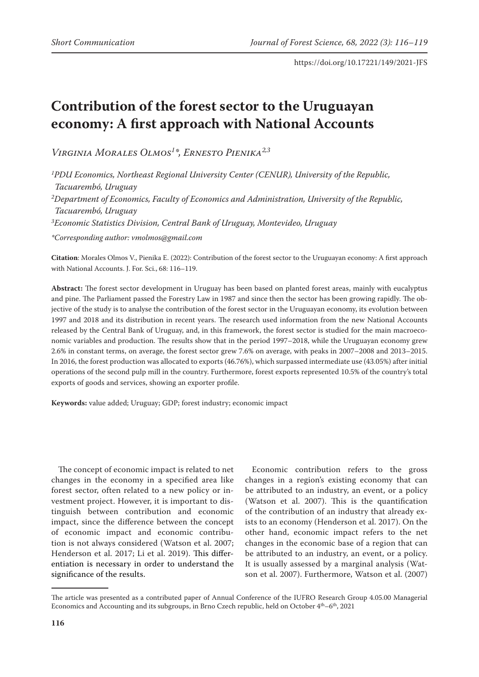# **Contribution of the forest sector to the Uruguayan economy: A first approach with National Accounts**

*Virginia Morales Olmos1 \*, Ernesto Pienika2,3*

*1 PDU Economics, Northeast Regional University Center (CENUR), University of the Republic, Tacuarembó, Uruguay*

*2 Department of Economics, Faculty of Economics and Administration, University of the Republic, Tacuarembó, Uruguay*

*3 Economic Statistics Division, Central Bank of Uruguay, Montevideo, Uruguay*

*\*Corresponding author: vmolmos@gmail.com*

**Citation**: Morales Olmos V., Pienika E. (2022): Contribution of the forest sector to the Uruguayan economy: A first approach with National Accounts. J. For. Sci., 68: 116–119.

**Abstract:** The forest sector development in Uruguay has been based on planted forest areas, mainly with eucalyptus and pine. The Parliament passed the Forestry Law in 1987 and since then the sector has been growing rapidly. The objective of the study is to analyse the contribution of the forest sector in the Uruguayan economy, its evolution between 1997 and 2018 and its distribution in recent years. The research used information from the new National Accounts released by the Central Bank of Uruguay, and, in this framework, the forest sector is studied for the main macroeconomic variables and production. The results show that in the period 1997–2018, while the Uruguayan economy grew 2.6% in constant terms, on average, the forest sector grew 7.6% on average, with peaks in 2007–2008 and 2013–2015. In 2016, the forest production was allocated to exports (46.76%), which surpassed intermediate use (43.05%) after initial operations of the second pulp mill in the country. Furthermore, forest exports represented 10.5% of the country's total exports of goods and services, showing an exporter profile.

**Keywords:** value added; Uruguay; GDP; forest industry; economic impact

The concept of economic impact is related to net changes in the economy in a specified area like forest sector, often related to a new policy or investment project. However, it is important to distinguish between contribution and economic impact, since the difference between the concept of economic impact and economic contribution is not always considered (Watson et al. 2007; Henderson et al. 2017; Li et al. 2019). This differentiation is necessary in order to understand the significance of the results.

Economic contribution refers to the gross changes in a region's existing economy that can be attributed to an industry, an event, or a policy (Watson et al. 2007). This is the quantification of the contribution of an industry that already exists to an economy (Henderson et al. 2017). On the other hand, economic impact refers to the net changes in the economic base of a region that can be attributed to an industry, an event, or a policy. It is usually assessed by a marginal analysis (Watson et al. 2007). Furthermore, Watson et al. (2007)

The article was presented as a contributed paper of Annual Conference of the IUFRO Research Group 4.05.00 Managerial Economics and Accounting and its subgroups, in Brno Czech republic, held on October  $4<sup>th</sup> – 6<sup>th</sup>$ , 2021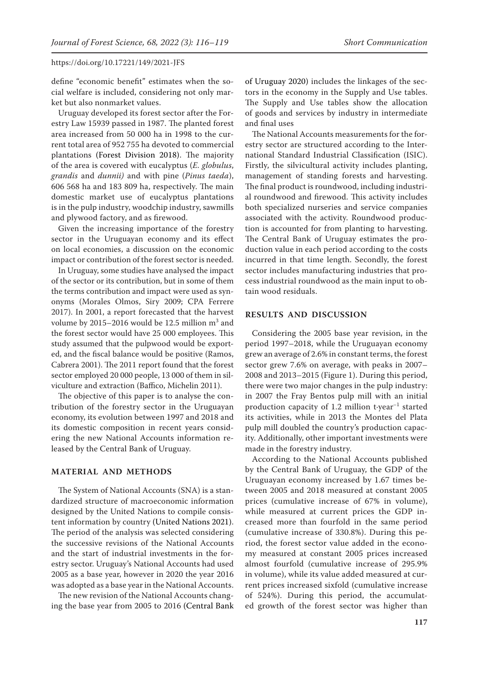define "economic benefit" estimates when the social welfare is included, considering not only market but also nonmarket values.

Uruguay developed its forest sector after the Forestry Law 15939 passed in 1987. The planted forest area increased from 50 000 ha in 1998 to the current total area of 952 755 ha devoted to commercial plantations (Forest Division 2018). The majority of the area is covered with eucalyptus (*E. globulus*, *grandis* and *dunnii)* and with pine (*Pinus taeda*), 606 568 ha and 183 809 ha, respectively. The main domestic market use of eucalyptus plantations is in the pulp industry, woodchip industry, sawmills and plywood factory, and as firewood.

Given the increasing importance of the forestry sector in the Uruguayan economy and its effect on local economies, a discussion on the economic impact or contribution of the forest sector is needed.

In Uruguay, some studies have analysed the impact of the sector or its contribution, but in some of them the terms contribution and impact were used as synonyms (Morales Olmos, Siry 2009; CPA Ferrere 2017). In 2001, a report forecasted that the harvest volume by 2015–2016 would be 12.5 million  $m^3$  and the forest sector would have 25 000 employees. This study assumed that the pulpwood would be exported, and the fiscal balance would be positive (Ramos, Cabrera 2001). The 2011 report found that the forest sector employed 20 000 people, 13 000 of them in silviculture and extraction (Baffico, Michelin 2011).

The objective of this paper is to analyse the contribution of the forestry sector in the Uruguayan economy, its evolution between 1997 and 2018 and its domestic composition in recent years considering the new National Accounts information released by the Central Bank of Uruguay.

## **MATERIAL AND METHODS**

The System of National Accounts (SNA) is a standardized structure of macroeconomic information designed by the United Nations to compile consistent information by country (United Nations 2021). The period of the analysis was selected considering the successive revisions of the National Accounts and the start of industrial investments in the forestry sector. Uruguay's National Accounts had used 2005 as a base year, however in 2020 the year 2016 was adopted as a base year in the National Accounts.

The new revision of the National Accounts changing the base year from 2005 to 2016 (Central Bank of Uruguay 2020) includes the linkages of the sectors in the economy in the Supply and Use tables. The Supply and Use tables show the allocation of goods and services by industry in intermediate and final uses

The National Accounts measurements for the forestry sector are structured according to the International Standard Industrial Classification (ISIC). Firstly, the silvicultural activity includes planting, management of standing forests and harvesting. The final product is roundwood, including industrial roundwood and firewood. This activity includes both specialized nurseries and service companies associated with the activity. Roundwood production is accounted for from planting to harvesting. The Central Bank of Uruguay estimates the production value in each period according to the costs incurred in that time length. Secondly, the forest sector includes manufacturing industries that process industrial roundwood as the main input to obtain wood residuals.

## **RESULTS AND DISCUSSION**

Considering the 2005 base year revision, in the period 1997–2018, while the Uruguayan economy grew an average of 2.6% in constant terms, the forest sector grew 7.6% on average, with peaks in 2007– 2008 and 2013–2015 (Figure 1). During this period, there were two major changes in the pulp industry: in 2007 the Fray Bentos pulp mill with an initial production capacity of 1.2 million t·year–1 started its activities, while in 2013 the Montes del Plata pulp mill doubled the country's production capacity. Additionally, other important investments were made in the forestry industry.

According to the National Accounts published by the Central Bank of Uruguay, the GDP of the Uruguayan economy increased by 1.67 times between 2005 and 2018 measured at constant 2005 prices (cumulative increase of 67% in volume), while measured at current prices the GDP increased more than fourfold in the same period (cumulative increase of 330.8%). During this period, the forest sector value added in the economy measured at constant 2005 prices increased almost fourfold (cumulative increase of 295.9% in volume), while its value added measured at current prices increased sixfold (cumulative increase of 524%). During this period, the accumulated growth of the forest sector was higher than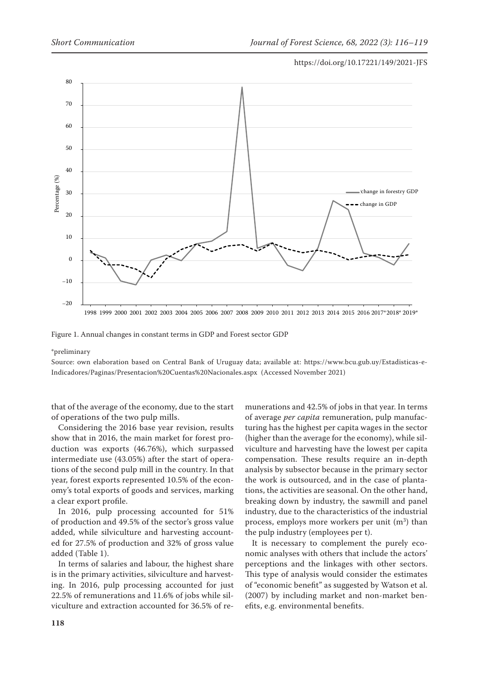

Figure 1. Annual changes in constant terms in GDP and Forest sector GDP

#### \*preliminary

Source: own elaboration based on Central Bank of Uruguay data; available at: https://www.bcu.gub.uy/Estadisticas-e-Indicadores/Paginas/Presentacion%20Cuentas%20Nacionales.aspx (Accessed November 2021)

that of the average of the economy, due to the start of operations of the two pulp mills.

Considering the 2016 base year revision, results show that in 2016, the main market for forest production was exports (46.76%), which surpassed intermediate use (43.05%) after the start of operations of the second pulp mill in the country. In that year, forest exports represented 10.5% of the economy's total exports of goods and services, marking a clear export profile.

In 2016, pulp processing accounted for 51% of production and 49.5% of the sector's gross value added, while silviculture and harvesting accounted for 27.5% of production and 32% of gross value added (Table 1).

In terms of salaries and labour, the highest share is in the primary activities, silviculture and harvesting. In 2016, pulp processing accounted for just 22.5% of remunerations and 11.6% of jobs while silviculture and extraction accounted for 36.5% of remunerations and 42.5% of jobs in that year. In terms of average *per capita* remuneration, pulp manufacturing has the highest per capita wages in the sector (higher than the average for the economy), while silviculture and harvesting have the lowest per capita compensation. These results require an in-depth analysis by subsector because in the primary sector the work is outsourced, and in the case of plantations, the activities are seasonal. On the other hand, breaking down by industry, the sawmill and panel industry, due to the characteristics of the industrial process, employs more workers per unit  $(m^3)$  than the pulp industry (employees per t).

It is necessary to complement the purely economic analyses with others that include the actors' perceptions and the linkages with other sectors. This type of analysis would consider the estimates of "economic benefit" as suggested by Watson et al. (2007) by including market and non-market benefits, e.g. environmental benefits.